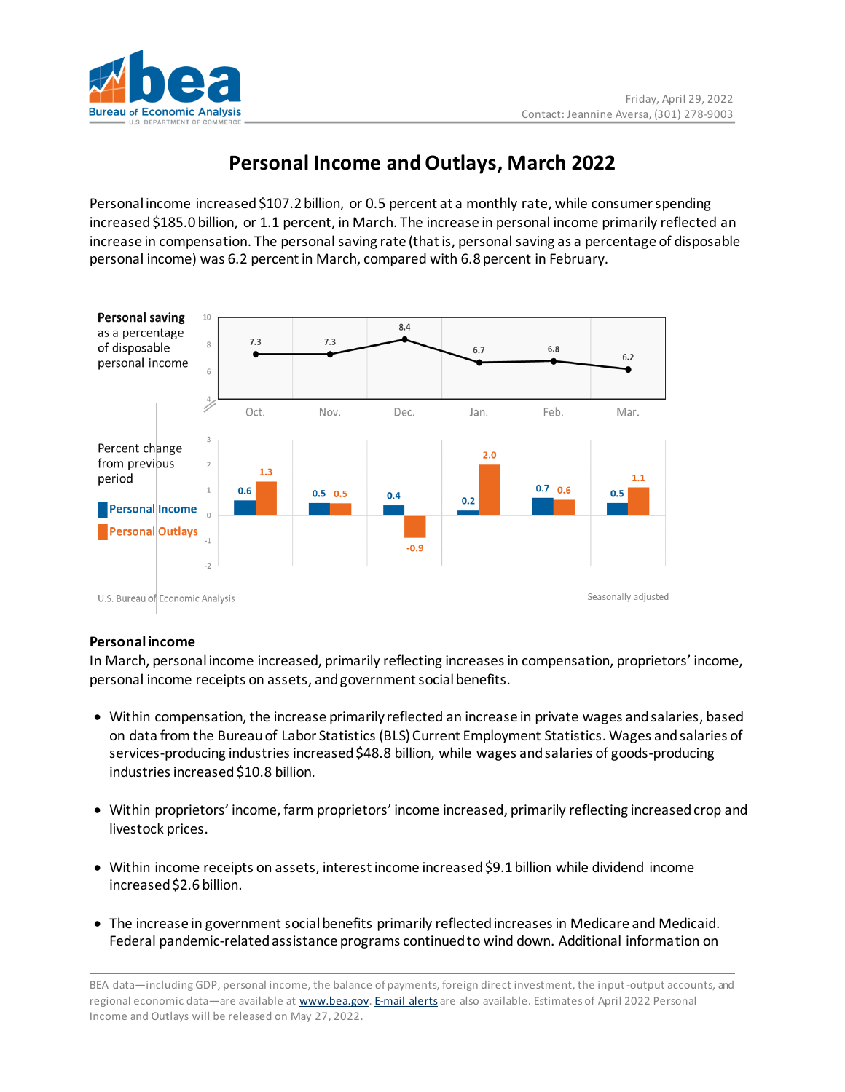

# **Personal Income and Outlays, March 2022**

Personal income increased \$107.2 billion, or 0.5 percent at a monthly rate, while consumer spending increased \$185.0 billion, or 1.1 percent, in March. The increase in personal income primarily reflected an increase in compensation. The personal saving rate (that is, personal saving as a percentage of disposable personal income) was 6.2 percent in March, compared with 6.8 percent in February.



## **Personal income**

In March, personal income increased, primarily reflecting increasesin compensation, proprietors' income, personal income receipts on assets, and government social benefits.

- Within compensation, the increase primarily reflected an increase in private wages and salaries, based on data from the Bureau of Labor Statistics (BLS) Current Employment Statistics. Wages and salaries of services-producing industries increased \$48.8 billion, while wages and salaries of goods-producing industries increased \$10.8 billion.
- Within proprietors' income, farm proprietors' income increased, primarily reflecting increased crop and livestock prices.
- Within income receipts on assets, interest income increased \$9.1 billion while dividend income increased \$2.6 billion.
- The increase in government social benefits primarily reflected increases in Medicare and Medicaid. Federal pandemic-related assistance programs continued to wind down. Additional information on

BEA data—including GDP, personal income, the balance of payments, foreign direct investment, the input-output accounts, and regional economic data—are available at [www.bea.gov.](http://www.bea.gov/) [E-mail](https://www.bea.gov/_subscribe) alerts are also available. Estimates of April 2022 Personal Income and Outlays will be released on May 27, 2022.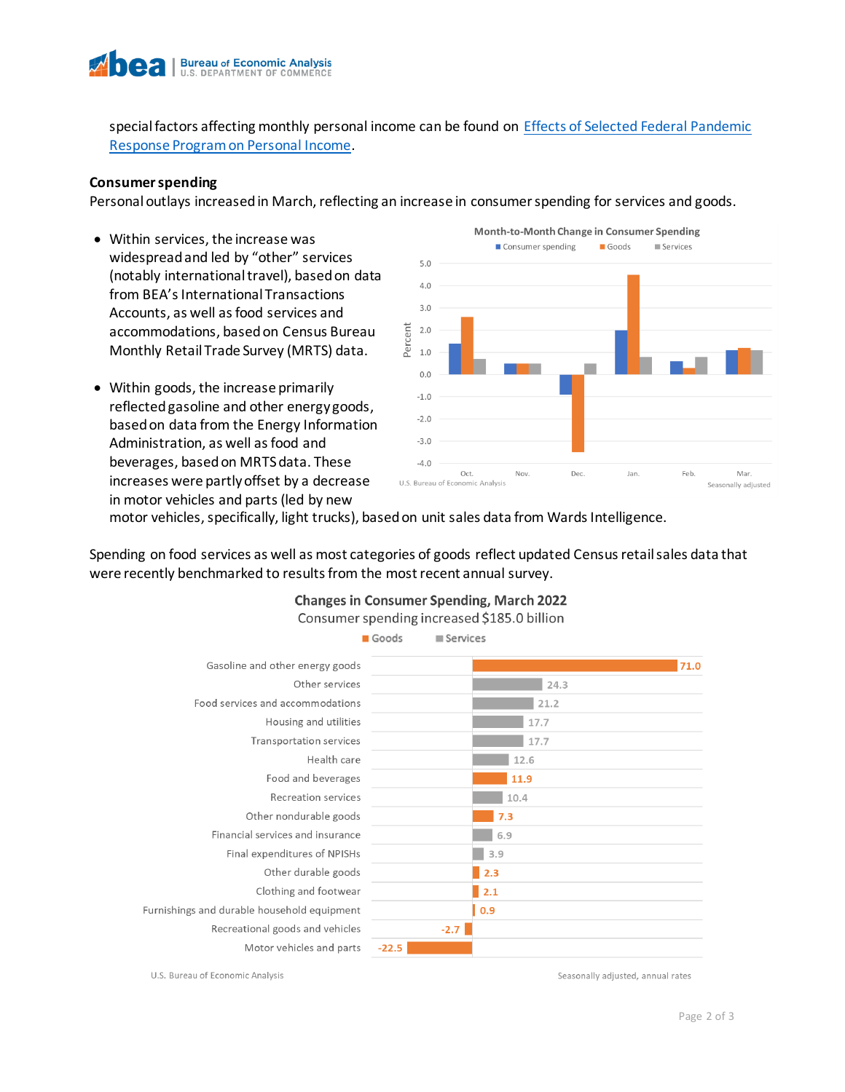

special factors affecting monthly personal income can be found on [Effects of Selected Federal Pandemic](https://www.bea.gov/sites/default/files/2022-04/effects-of-selected-federal-pandemic-response-programs-on-personal-income-march-2022.pdf)  [Response Program on Personal Income.](https://www.bea.gov/sites/default/files/2022-04/effects-of-selected-federal-pandemic-response-programs-on-personal-income-march-2022.pdf)

#### **Consumer spending**

Personal outlays increased in March, reflecting an increase in consumer spending for services and goods.

- Within services, the increase was widespread and led by "other" services (notably international travel), based on data from BEA's International Transactions Accounts, as well as food services and accommodations, based on Census Bureau Monthly Retail Trade Survey (MRTS) data.
- Within goods, the increase primarily reflected gasoline and other energy goods, based on data from the Energy Information Administration, as well asfood and beverages, based on MRTS data. These increases were partly offset by a decrease in motor vehicles and parts (led by new



motor vehicles, specifically, light trucks), based on unit sales data from Wards Intelligence.

Spending on food services as well as most categories of goods reflect updated Census retail sales data that were recently benchmarked to results from the most recent annual survey.



#### **Changes in Consumer Spending, March 2022** Consumer spending increased \$185.0 billion

U.S. Bureau of Economic Analysis

Seasonally adjusted, annual rates